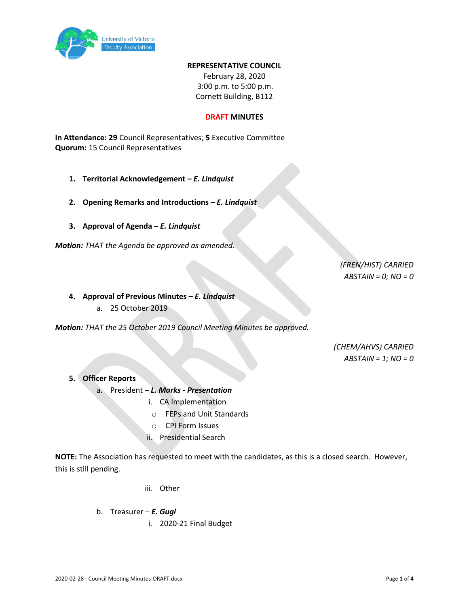

#### **REPRESENTATIVE COUNCIL**

February 28, 2020 3:00 p.m. to 5:00 p.m. Cornett Building, B112

#### **DRAFT MINUTES**

**In Attendance: 29** Council Representatives; **5** Executive Committee **Quorum:** 15 Council Representatives

- **1. Territorial Acknowledgement –** *E. Lindquist*
- **2. Opening Remarks and Introductions –** *E. Lindquist*
- **3. Approval of Agenda –** *E. Lindquist*

*Motion: THAT the Agenda be approved as amended.*

*(FREN/HIST) CARRIED ABSTAIN = 0; NO = 0*

- **4. Approval of Previous Minutes –** *E. Lindquist* 
	- a. 25 October 2019

*Motion: THAT the 25 October 2019 Council Meeting Minutes be approved.*

*(CHEM/AHVS) CARRIED ABSTAIN = 1; NO = 0*

- **5. Officer Reports**
	- a. President *L. Marks - Presentation*
		- i. CA Implementation
			- o FEPs and Unit Standards
			- o CPI Form Issues
			- ii. Presidential Search

**NOTE:** The Association has requested to meet with the candidates, as this is a closed search. However, this is still pending.

- iii. Other
- b. Treasurer *E. Gugl* 
	- i. 2020-21 Final Budget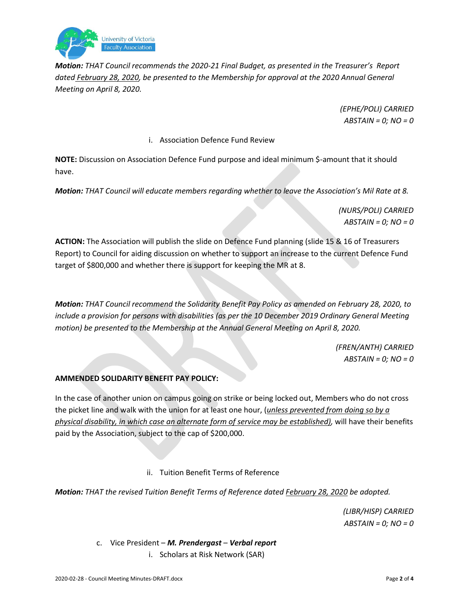

*Motion: THAT Council recommends the 2020-21 Final Budget, as presented in the Treasurer's Report dated February 28, 2020, be presented to the Membership for approval at the 2020 Annual General Meeting on April 8, 2020.*

> *(EPHE/POLI) CARRIED ABSTAIN = 0; NO = 0*

### i. Association Defence Fund Review

**NOTE:** Discussion on Association Defence Fund purpose and ideal minimum \$-amount that it should have.

*Motion: THAT Council will educate members regarding whether to leave the Association's Mil Rate at 8.*

*(NURS/POLI) CARRIED ABSTAIN = 0; NO = 0*

**ACTION:** The Association will publish the slide on Defence Fund planning (slide 15 & 16 of Treasurers Report) to Council for aiding discussion on whether to support an increase to the current Defence Fund target of \$800,000 and whether there is support for keeping the MR at 8.

*Motion: THAT Council recommend the Solidarity Benefit Pay Policy as amended on February 28, 2020, to include a provision for persons with disabilities (as per the 10 December 2019 Ordinary General Meeting motion) be presented to the Membership at the Annual General Meeting on April 8, 2020.*

> *(FREN/ANTH) CARRIED ABSTAIN = 0; NO = 0*

## **AMMENDED SOLIDARITY BENEFIT PAY POLICY:**

In the case of another union on campus going on strike or being locked out, Members who do not cross the picket line and walk with the union for at least one hour, (*unless prevented from doing so by a physical disability, in which case an alternate form of service may be established),* will have their benefits paid by the Association, subject to the cap of \$200,000.

ii. Tuition Benefit Terms of Reference

*Motion: THAT the revised Tuition Benefit Terms of Reference dated February 28, 2020 be adopted.* 

*(LIBR/HISP) CARRIED ABSTAIN = 0; NO = 0*

c. Vice President – *M. Prendergast* – *Verbal report* i. Scholars at Risk Network (SAR)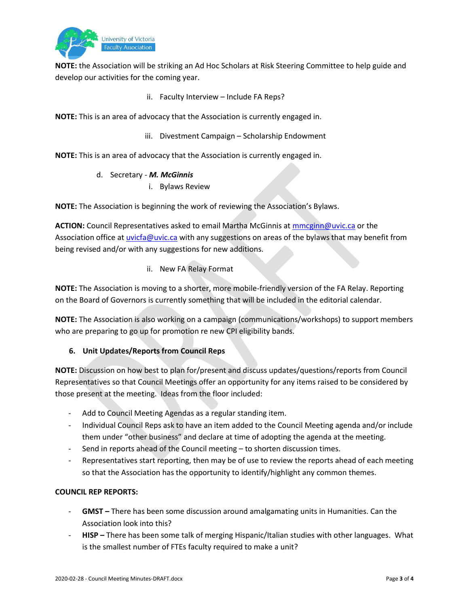

**NOTE:** the Association will be striking an Ad Hoc Scholars at Risk Steering Committee to help guide and develop our activities for the coming year.

ii. Faculty Interview – Include FA Reps?

**NOTE:** This is an area of advocacy that the Association is currently engaged in.

iii. Divestment Campaign – Scholarship Endowment

**NOTE:** This is an area of advocacy that the Association is currently engaged in.

- d. Secretary *M. McGinnis*
	- i. Bylaws Review

**NOTE:** The Association is beginning the work of reviewing the Association's Bylaws.

**ACTION:** Council Representatives asked to email Martha McGinnis at [mmcginn@uvic.ca](mailto:mmcginn@uvic.ca) or the Association office a[t uvicfa@uvic.ca](mailto:uvicfa@uvic.ca) with any suggestions on areas of the bylaws that may benefit from being revised and/or with any suggestions for new additions.

# ii. New FA Relay Format

**NOTE:** The Association is moving to a shorter, more mobile-friendly version of the FA Relay. Reporting on the Board of Governors is currently something that will be included in the editorial calendar.

**NOTE:** The Association is also working on a campaign (communications/workshops) to support members who are preparing to go up for promotion re new CPI eligibility bands.

# **6. Unit Updates/Reports from Council Reps**

**NOTE:** Discussion on how best to plan for/present and discuss updates/questions/reports from Council Representatives so that Council Meetings offer an opportunity for any items raised to be considered by those present at the meeting. Ideas from the floor included:

- Add to Council Meeting Agendas as a regular standing item.
- Individual Council Reps ask to have an item added to the Council Meeting agenda and/or include them under "other business" and declare at time of adopting the agenda at the meeting.
- Send in reports ahead of the Council meeting to shorten discussion times.
- Representatives start reporting, then may be of use to review the reports ahead of each meeting so that the Association has the opportunity to identify/highlight any common themes.

# **COUNCIL REP REPORTS:**

- **GMST –** There has been some discussion around amalgamating units in Humanities. Can the Association look into this?
- **HISP –** There has been some talk of merging Hispanic/Italian studies with other languages. What is the smallest number of FTEs faculty required to make a unit?